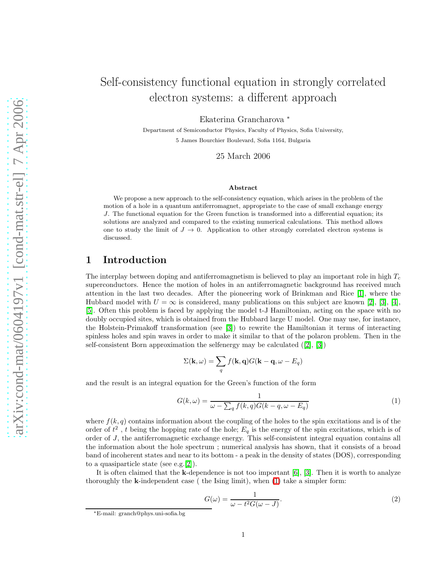# Self-consistency functional equation in strongly correlated electron systems: a different approach

Ekaterina Grancharova <sup>∗</sup>

Department of Semiconductor Physics, Faculty of Physics, Sofia University, 5 James Bourchier Boulevard, Sofia 1164, Bulgaria

25 March 2006

#### Abstract

We propose a new approach to the self-consistency equation, which arises in the problem of the motion of a hole in a quantum antiferromagnet, appropriate to the case of small exchange energy J. The functional equation for the Green function is transformed into a differential equation; its solutions are analyzed and compared to the existing numerical calculations. This method allows one to study the limit of  $J \to 0$ . Application to other strongly correlated electron systems is discussed.

#### 1 Introduction

The interplay between doping and antiferromagnetism is believed to play an important role in high  $T_c$ superconductors. Hence the motion of holes in an antiferromagnetic background has received much attention in the last two decades. After the pioneering work of Brinkman and Rice [\[1\]](#page-8-0), where the Hubbard model with  $U = \infty$  is considered, many publications on this subject are known [\[2\]](#page-8-1), [\[3\]](#page-8-2), [\[4\]](#page-8-3), [\[5\]](#page-8-4). Often this problem is faced by applying the model t-J Hamiltonian, acting on the space with no doubly occupied sites, which is obtained from the Hubbard large U model. One may use, for instance, the Holstein-Primakoff transformation (see [\[3\]](#page-8-2)) to rewrite the Hamiltonian it terms of interacting spinless holes and spin waves in order to make it similar to that of the polaron problem. Then in the self-consistent Born approximation the selfenergy may be calculated  $([2], [3])$  $([2], [3])$  $([2], [3])$  $([2], [3])$  $([2], [3])$ 

<span id="page-0-0"></span>
$$
\Sigma(\mathbf{k},\omega) = \sum_{q} f(\mathbf{k},\mathbf{q}) G(\mathbf{k}-\mathbf{q},\omega - E_q)
$$

and the result is an integral equation for the Green's function of the form

$$
G(k,\omega) = \frac{1}{\omega - \sum_{q} f(k,q)G(k-q,\omega - E_q)}
$$
(1)

where  $f(k, q)$  contains information about the coupling of the holes to the spin excitations and is of the order of  $t^2$ , t being the hopping rate of the hole;  $E_q$  is the energy of the spin excitations, which is of order of J, the antiferromagnetic exchange energy. This self-consistent integral equation contains all the information about the hole spectrum ; numerical analysis has shown, that it consists of a broad band of incoherent states and near to its bottom - a peak in the density of states (DOS), corresponding to a quasiparticle state (see e.g.[\[2\]](#page-8-1)).

It is often claimed that the **k**-dependence is not too important  $[6]$ ,  $[3]$ . Then it is worth to analyze thoroughly the  $k$ -independent case ( the Ising limit), when  $(1)$  take a simpler form:

<span id="page-0-1"></span>
$$
G(\omega) = \frac{1}{\omega - t^2 G(\omega - J)}.\tag{2}
$$

<sup>∗</sup>E-mail: granch@phys.uni-sofia.bg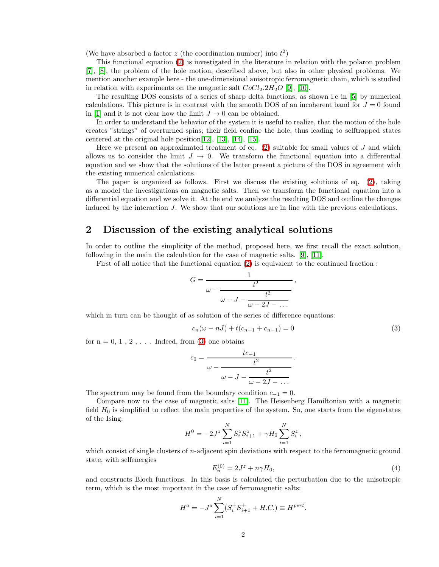(We have absorbed a factor z (the coordination number) into  $t^2$ )

This functional equation [\(2\)](#page-0-1) is investigated in the literature in relation with the polaron problem [\[7\]](#page-8-6), [\[8\]](#page-8-7), the problem of the hole motion, described above, but also in other physical problems. We mention another example here - the one-dimensional anisotropic ferromagnetic chain, which is studied in relation with experiments on the magnetic salt  $CoCl<sub>2</sub> 2H<sub>2</sub>O$  [\[9\]](#page-8-8), [\[10\]](#page-8-9).

The resulting DOS consists of a series of sharp delta functions, as shown i.e in [\[5\]](#page-8-4) by numerical calculations. This picture is in contrast with the smooth DOS of an incoherent band for  $J = 0$  found in [\[1\]](#page-8-0) and it is not clear how the limit  $J \to 0$  can be obtained.

In order to understand the behavior of the system it is useful to realize, that the motion of the hole creates "strings" of overturned spins; their field confine the hole, thus leading to selftrapped states centered at the original hole position[\[12\]](#page-8-10), [\[13\]](#page-8-11), [\[14\]](#page-9-0), [\[15\]](#page-9-1).

Here we present an approximated treatment of eq.  $(2)$  suitable for small values of  $J$  and which allows us to consider the limit  $J \to 0$ . We transform the functional equation into a differential equation and we show that the solutions of the latter present a picture of the DOS in agreement with the existing numerical calculations.

The paper is organized as follows. First we discuss the existing solutions of eq. [\(2\)](#page-0-1), taking as a model the investigations on magnetic salts. Then we transform the functional equation into a differential equation and we solve it. At the end we analyze the resulting DOS and outline the changes induced by the interaction J. We show that our solutions are in line with the previous calculations.

### 2 Discussion of the existing analytical solutions

In order to outline the simplicity of the method, proposed here, we first recall the exact solution, following in the main the calculation for the case of magnetic salts. [\[9\]](#page-8-8), [\[11\]](#page-8-12).

First of all notice that the functional equation [\(2\)](#page-0-1) is equivalent to the continued fraction :

$$
G = \frac{1}{\omega - \frac{t^2}{\omega - J - \frac{t^2}{\omega - 2J - \dots}}}
$$

which in turn can be thought of as solution of the series of difference equations:

$$
c_n(\omega - nJ) + t(c_{n+1} + c_{n-1}) = 0
$$
\n(3)

<span id="page-1-0"></span>,

for  $n = 0, 1, 2, \ldots$  Indeed, from [\(3\)](#page-1-0) one obtains

$$
c_0 = \cfrac{tc_{-1}}{\omega - \cfrac{t^2}{\omega - J - \cfrac{t^2}{\omega - 2J - \dots}}}.
$$

The spectrum may be found from the boundary condition  $c_{-1} = 0$ .

Compare now to the case of magnetic salts [\[11\]](#page-8-12). The Heisenberg Hamiltonian with a magnetic field  $H_0$  is simplified to reflect the main properties of the system. So, one starts from the eigenstates of the Ising:

$$
H^{0} = -2J^{z} \sum_{i=1}^{N} S_{i}^{z} S_{i+1}^{z} + \gamma H_{0} \sum_{i=1}^{N} S_{i}^{z},
$$

which consist of single clusters of *n*-adjacent spin deviations with respect to the ferromagnetic ground state, with selfenergies

$$
E_n^{(0)} = 2J^z + n\gamma H_0,\t\t(4)
$$

and constructs Bloch functions. In this basis is calculated the perturbation due to the anisotropic term, which is the most important in the case of ferromagnetic salts:

$$
H^{a} = -J^{a} \sum_{i=1}^{N} (S_{i}^{+} S_{i+1}^{+} + H.C.) \equiv H^{pert}.
$$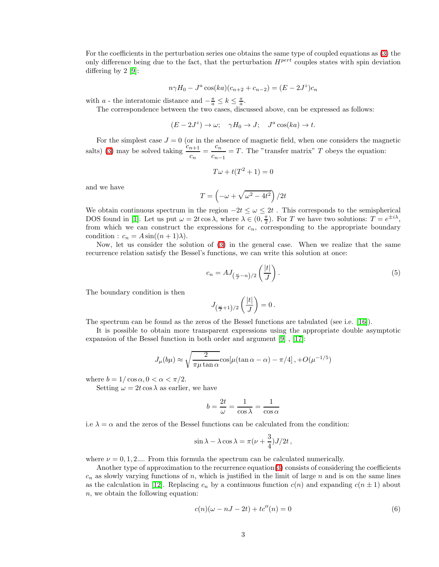For the coefficients in the perturbation series one obtains the same type of coupled equations as [\(3\)](#page-1-0) the only difference being due to the fact, that the perturbation  $H^{pert}$  couples states with spin deviation differing by 2 [\[9\]](#page-8-8):

$$
n\gamma H_0 - J^a \cos(ka)(c_{n+2} + c_{n-2}) = (E - 2J^z)c_n
$$

with a - the interatomic distance and  $-\frac{\pi}{a} \leq k \leq \frac{\pi}{a}$ .

The correspondence between the two cases, discussed above, can be expressed as follows:

$$
(E - 2J^z) \to \omega; \quad \gamma H_0 \to J; \quad J^a \cos(ka) \to t.
$$

For the simplest case  $J = 0$  (or in the absence of magnetic field, when one considers the magnetic salts) [\(3\)](#page-1-0) may be solved taking  $\frac{c_{n+1}}{c_n} = \frac{c_n}{c_{n-1}}$  $\frac{c_n}{c_{n-1}} = T$ . The "transfer matrix" T obeys the equation:

$$
T\omega + t(T^2 + 1) = 0
$$

and we have

$$
T = \left(-\omega + \sqrt{\omega^2 - 4t^2}\right)/2t
$$

We obtain continuous spectrum in the region  $-2t \leq \omega \leq 2t$ . This corresponds to the semispherical DOS found in [\[1\]](#page-8-0). Let us put  $\omega = 2t \cos \lambda$ , where  $\lambda \in (0, \frac{\pi}{2})$ . For T we have two solutions:  $T = e^{\pm i\lambda}$ , from which we can construct the expressions for  $c_n$ , corresponding to the appropriate boundary condition :  $c_n = A \sin((n+1)\lambda)$ .

Now, let us consider the solution of [\(3\)](#page-1-0) in the general case. When we realize that the same recurrence relation satisfy the Bessel's functions, we can write this solution at once:

$$
c_n = AJ_{\left(\frac{\omega}{J} - n\right)/2} \left(\frac{|t|}{J}\right). \tag{5}
$$

The boundary condition is then

$$
J_{\left(\frac{\omega}{J}+1\right)/2}\left(\frac{|t|}{J}\right)=0\,.
$$

The spectrum can be found as the zeros of the Bessel functions are tabulated (see i.e. [\[16\]](#page-9-2)).

It is possible to obtain more transparent expressions using the appropriate double asymptotic expansion of the Bessel function in both order and argument [\[9\]](#page-8-8) , [\[17\]](#page-9-3):

$$
J_{\mu}(b\mu) \approx \sqrt{\frac{2}{\pi\mu\tan\alpha}} \cos[\mu(\tan\alpha - \alpha) - \pi/4], +O(\mu^{-1/5})
$$

where  $b = 1/\cos \alpha$ ,  $0 < \alpha < \pi/2$ .

Setting  $\omega = 2t \cos \lambda$  as earlier, we have

$$
b=\frac{2t}{\omega}=\frac{1}{\cos\lambda}=\frac{1}{\cos\alpha}
$$

i.e  $\lambda = \alpha$  and the zeros of the Bessel functions can be calculated from the condition:

$$
\sin \lambda - \lambda \cos \lambda = \pi (\nu + \frac{3}{4})J/2t,
$$

where  $\nu = 0, 1, 2,...$  From this formula the spectrum can be calculated numerically.

Another type of approximation to the recurrence equation[\(3\)](#page-1-0) consists of considering the coefficients  $c_n$  as slowly varying functions of n, which is justified in the limit of large n and is on the same lines as the calculation in [\[12\]](#page-8-10). Replacing  $c_n$  by a continuous function  $c(n)$  and expanding  $c(n \pm 1)$  about n, we obtain the following equation:

$$
c(n)(\omega - nJ - 2t) + tc''(n) = 0
$$
\n(6)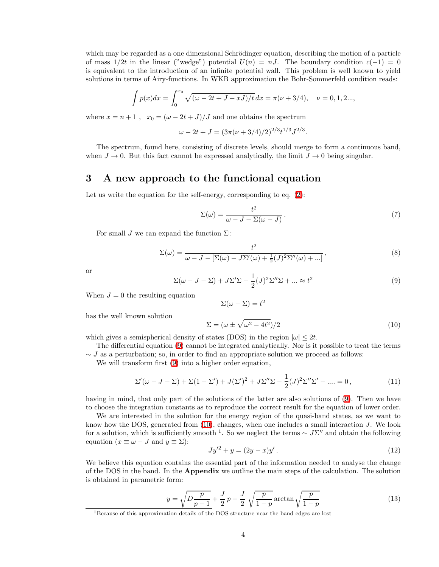which may be regarded as a one dimensional Schrödinger equation, describing the motion of a particle of mass  $1/2t$  in the linear ("wedge") potential  $U(n) = nJ$ . The boundary condition  $c(-1) = 0$ is equivalent to the introduction of an infinite potential wall. This problem is well known to yield solutions in terms of Airy-functions. In WKB approximation the Bohr-Sommerfeld condition reads:

$$
\int p(x)dx = \int_0^{x_0} \sqrt{(\omega - 2t + J - xJ)/t} \, dx = \pi(\nu + 3/4), \quad \nu = 0, 1, 2...
$$

where  $x = n + 1$ ,  $x_0 = (\omega - 2t + J)/J$  and one obtains the spectrum

$$
\omega - 2t + J = (3\pi(\nu + 3/4)/2)^{2/3} t^{1/3} J^{2/3}.
$$

The spectrum, found here, consisting of discrete levels, should merge to form a continuous band, when  $J \to 0$ . But this fact cannot be expressed analytically, the limit  $J \to 0$  being singular.

#### 3 A new approach to the functional equation

Let us write the equation for the self-energy, corresponding to eq.  $(2)$ :

$$
\Sigma(\omega) = \frac{t^2}{\omega - J - \Sigma(\omega - J)}.
$$
\n(7)

For small J we can expand the function  $\Sigma$ :

$$
\Sigma(\omega) = \frac{t^2}{\omega - J - [\Sigma(\omega) - J\Sigma'(\omega) + \frac{1}{2}(J)^2\Sigma''(\omega) + \ldots]},
$$
\n(8)

<span id="page-3-0"></span>or

$$
\Sigma(\omega - J - \Sigma) + J\Sigma' \Sigma - \frac{1}{2}(J)^2 \Sigma'' \Sigma + \dots \approx t^2
$$
\n(9)

When  $J = 0$  the resulting equation

$$
\Sigma(\omega - \Sigma) = t^2
$$

<span id="page-3-1"></span>has the well known solution

$$
\Sigma = (\omega \pm \sqrt{\omega^2 - 4t^2})/2 \tag{10}
$$

which gives a semispherical density of states (DOS) in the region  $|\omega| \leq 2t$ .

The differential equation [\(9\)](#page-3-0) cannot be integrated analytically. Nor is it possible to treat the terms  $\sim J$  as a perturbation; so, in order to find an appropriate solution we proceed as follows:

We will transform first  $(9)$  into a higher order equation,

<span id="page-3-3"></span>
$$
\Sigma'(\omega - J - \Sigma) + \Sigma(1 - \Sigma') + J(\Sigma')^{2} + J\Sigma''\Sigma - \frac{1}{2}(J)^{2}\Sigma''\Sigma' - \dots = 0,
$$
\n(11)

having in mind, that only part of the solutions of the latter are also solutions of  $(9)$ . Then we have to choose the integration constants as to reproduce the correct result for the equation of lower order.

We are interested in the solution for the energy region of the quasi-band states, as we want to know how the DOS, generated from  $(10)$ , changes, when one includes a small interaction  $J$ . We look for a solution, which is sufficiently smooth <sup>1</sup>. So we neglect the terms  $\sim J\Sigma''$  and obtain the following equation  $(x \equiv \omega - J \text{ and } y \equiv \Sigma)$ :

$$
Jy'^2 + y = (2y - x)y'.
$$
 (12)

We believe this equation contains the essential part of the information needed to analyse the change of the DOS in the band. In the Appendix we outline the main steps of the calculation. The solution is obtained in parametric form:

<span id="page-3-2"></span>
$$
y = \sqrt{D \frac{p}{p-1}} + \frac{J}{2} p - \frac{J}{2} \sqrt{\frac{p}{1-p}} \arctan \sqrt{\frac{p}{1-p}}
$$
(13)

 $^1\rm{Because}$  of this approximation details of the DOS structure near the band edges are lost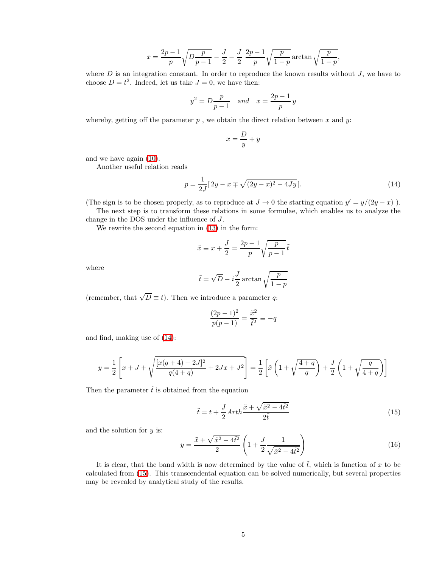$$
x = \frac{2p-1}{p} \sqrt{D \frac{p}{p-1} - \frac{J}{2}} - \frac{J}{2} \frac{2p-1}{p} \sqrt{\frac{p}{1-p}} \arctan \sqrt{\frac{p}{1-p}},
$$

where  $D$  is an integration constant. In order to reproduce the known results without  $J$ , we have to choose  $D = t^2$ . Indeed, let us take  $J = 0$ , we have then:

$$
y^2 = D \frac{p}{p-1} \quad \text{and} \quad x = \frac{2p-1}{p}y
$$

whereby, getting off the parameter  $p$ , we obtain the direct relation between x and y:

$$
x = \frac{D}{y} + y
$$

and we have again [\(10\)](#page-3-1).

<span id="page-4-0"></span>Another useful relation reads

$$
p = \frac{1}{2J} [2y - x \mp \sqrt{(2y - x)^2 - 4Jy}].
$$
\n(14)

(The sign is to be chosen properly, as to reproduce at  $J \to 0$  the starting equation  $y' = y/(2y - x)$ ).

The next step is to transform these relations in some formulae, which enables us to analyze the change in the DOS under the influence of J.

We rewrite the second equation in [\(13\)](#page-3-2) in the form:

$$
\tilde{x} \equiv x + \frac{J}{2} = \frac{2p-1}{p} \sqrt{\frac{p}{p-1}} \tilde{t}
$$

where

$$
\tilde{t} = \sqrt{D} - i \frac{J}{2} \arctan \sqrt{\frac{p}{1-p}}
$$

(remember, that  $\sqrt{D} \equiv t$ ). Then we introduce a parameter q:

$$
\frac{(2p-1)^2}{p(p-1)} = \frac{\tilde{x}^2}{\tilde{t}^2} \equiv -q
$$

and find, making use of [\(14\)](#page-4-0):

$$
y = \frac{1}{2} \left[ x + J + \sqrt{\frac{[x(q+4) + 2J]^2}{q(4+q)} + 2Jx + J^2} \right] = \frac{1}{2} \left[ \tilde{x} \left( 1 + \sqrt{\frac{4+q}{q}} \right) + \frac{J}{2} \left( 1 + \sqrt{\frac{q}{4+q}} \right) \right]
$$

Then the parameter  $\tilde{t}$  is obtained from the equation

<span id="page-4-1"></span>
$$
\tilde{t} = t + \frac{J}{2} Arth \frac{\tilde{x} + \sqrt{\tilde{x}^2 - 4\tilde{t}^2}}{2\tilde{t}}
$$
\n(15)

<span id="page-4-2"></span>and the solution for  $y$  is:

$$
y = \frac{\tilde{x} + \sqrt{\tilde{x}^2 - 4\tilde{t}^2}}{2} \left( 1 + \frac{J}{2} \frac{1}{\sqrt{\tilde{x}^2 - 4\tilde{t}^2}} \right)
$$
(16)

It is clear, that the band width is now determined by the value of  $\tilde{t}$ , which is function of x to be calculated from [\(15\)](#page-4-1). This transcendental equation can be solved numerically, but several properties may be revealed by analytical study of the results.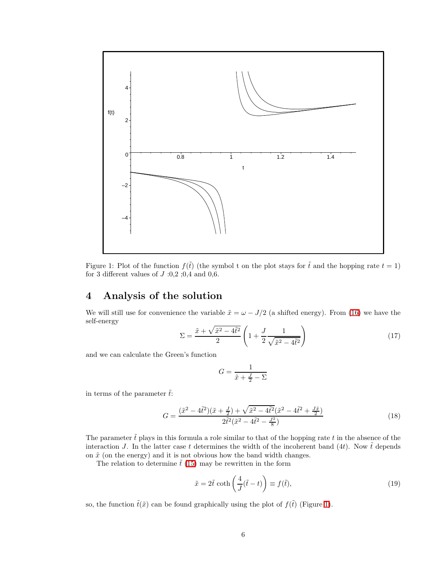

<span id="page-5-0"></span>Figure 1: Plot of the function  $f(\tilde{t})$  (the symbol t on the plot stays for  $\tilde{t}$  and the hopping rate  $t = 1$ ) for 3 different values of  $J \nvert 0,2;0,4$  and 0,6.

## 4 Analysis of the solution

We will still use for convenience the variable  $\tilde{x} = \omega - J/2$  (a shifted energy). From [\(16\)](#page-4-2) we have the self-energy

$$
\Sigma = \frac{\tilde{x} + \sqrt{\tilde{x}^2 - 4\tilde{t}^2}}{2} \left( 1 + \frac{J}{2} \frac{1}{\sqrt{\tilde{x}^2 - 4\tilde{t}^2}} \right)
$$
(17)

and we can calculate the Green's function

$$
G = \frac{1}{\tilde{x} + \frac{J}{2} - \Sigma}
$$

in terms of the parameter  $\tilde{t}$ :

$$
G = \frac{(\tilde{x}^2 - 4\tilde{t}^2)(\tilde{x} + \frac{J}{2}) + \sqrt{\tilde{x}^2 - 4\tilde{t}^2}(\tilde{x}^2 - 4\tilde{t}^2 + \frac{J\tilde{x}}{2})}{2\tilde{t}^2(\tilde{x}^2 - 4\tilde{t}^2 - \frac{J^2}{8})}
$$
(18)

The parameter  $\tilde{t}$  plays in this formula a role similar to that of the hopping rate t in the absence of the interaction J. In the latter case t determines the width of the incoherent band (4t). Now  $\tilde{t}$  depends on  $\tilde{x}$  (on the energy) and it is not obvious how the band width changes.

The relation to determine  $\tilde{t}$  [\(15\)](#page-4-1) may be rewritten in the form

<span id="page-5-1"></span>
$$
\tilde{x} = 2\tilde{t} \coth\left(\frac{4}{J}(\tilde{t} - t)\right) \equiv f(\tilde{t}),\tag{19}
$$

so, the function  $\tilde{t}(\tilde{x})$  can be found graphically using the plot of  $f(\tilde{t})$  (Figure [1\)](#page-5-0).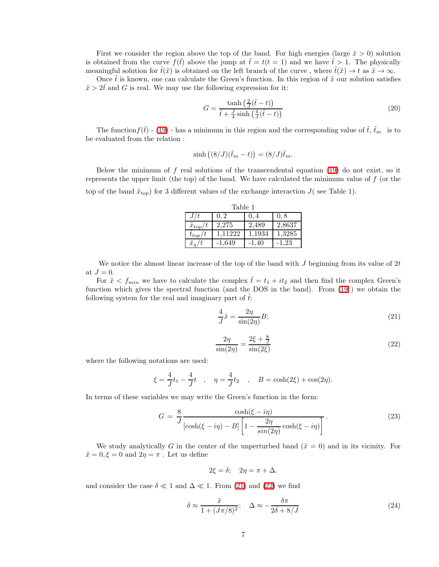First we consider the region above the top of the band. For high energies (large  $\tilde{x} > 0$ ) solution is obtained from the curve  $f(\tilde{t})$  above the jump at  $\tilde{t} = t(t = 1)$  and we have  $\tilde{t} > 1$ . The physically meaningful solution for  $\tilde{t}(\tilde{x})$  is obtained on the left branch of the curve , where  $\tilde{t}(\tilde{x}) \to t$  as  $\tilde{x} \to \infty$ .

Once  $\tilde{t}$  is known, one can calculate the Green's function. In this region of  $\tilde{x}$  our solution satisfies  $\tilde{x} > 2\tilde{t}$  and G is real. We may use the following expression for it:

<span id="page-6-2"></span>
$$
G = \frac{\tanh\left(\frac{2}{J}(\tilde{t} - t)\right)}{\tilde{t} + \frac{J}{4}\sinh\left(\frac{4}{J}(\tilde{t} - t)\right)}\tag{20}
$$

The function  $f(\tilde{t})$  - [\(19\)](#page-5-1) - has a minimum in this region and the corresponding value of  $\tilde{t}$ ,  $\tilde{t}_m$  is to be evaluated from the relation :

$$
\sinh ((8/J)(\tilde{t}_m - t)) = (8/J)\tilde{t}_m.
$$

Below the minimum of  $f$  real solutions of the transcendental equation [\(19\)](#page-5-1) do not exist, so it represents the upper limit (the top) of the band. We have calculated the minimum value of  $f$  (or the top of the band  $\tilde{x}_{top}$  for 3 different values of the exchange interaction  $J($  see Table 1).

| Table 1             |          |         |        |
|---------------------|----------|---------|--------|
| J/t                 | 0.2      | 0.4     | 0, 8   |
| $\tilde{x}_{top}/t$ | 2.275    | 2,489   | 2,8637 |
| $t_{top}/t$         | 1.11222  | 1,1934  | 1,3285 |
| $\tilde{x}_q/t$     | $-1,649$ | $-1.40$ | -1.23  |

We notice the almost linear increase of the top of the band with  $J$  beginning from its value of  $2t$ at  $J=0$ .

For  $\tilde{x} \lt f_{min}$  we have to calculate the complex  $\tilde{t} = t_1 + it_2$  and then find the complex Green's function which gives the spectral function (and the DOS in the band). From [\(19](#page-5-1) ) we obtain the following system for the real and imaginary part of  $\tilde{t}$ :

<span id="page-6-0"></span>
$$
\frac{4}{J}\tilde{x} = \frac{2\eta}{\sin(2\eta)}B;\tag{21}
$$

$$
\frac{2\eta}{\sin(2\eta)} = \frac{2\xi + \frac{8}{J}}{\sin(2\xi)}\tag{22}
$$

<span id="page-6-1"></span>where the following notations are used:

$$
\xi = \frac{4}{J}t_1 - \frac{4}{J}t
$$
,  $\eta = \frac{4}{J}t_2$ ,  $B = \cosh(2\xi) + \cos(2\eta)$ .

In terms of these variables we may write the Green's function in the form:

$$
G = \frac{8}{J} \frac{\cosh(\xi - i\eta)}{[\cosh(\xi - i\eta) - B] \left[1 - \frac{2\eta}{\sin(2\eta)}\cosh(\xi - i\eta)\right]}.
$$
(23)

We study analytically G in the center of the unperturbed band  $(\tilde{x} = 0)$  and in its vicinity. For  $\tilde{x} = 0, \xi = 0$  and  $2\eta = \pi$ . Let us define

$$
2\xi = \delta; \quad 2\eta = \pi + \Delta.
$$

and consider the case  $\delta \ll 1$  and  $\Delta \ll 1$ . From [\(21\)](#page-6-0) and [\(22\)](#page-6-1) we find

$$
\delta \approx \frac{\tilde{x}}{1 + (J\pi/8)^2}; \quad \Delta \approx -\frac{\delta \pi}{2\delta + 8/J}
$$
\n(24)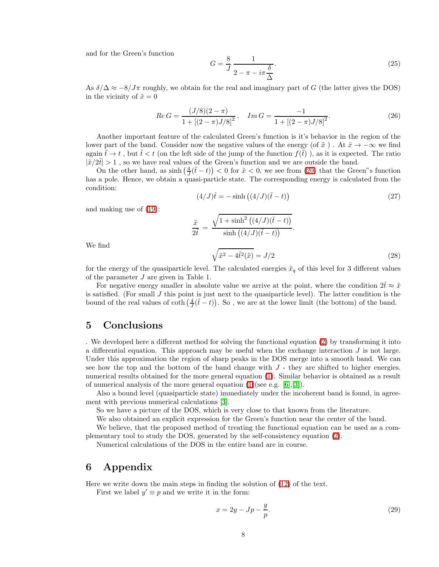and for the Green's function

$$
G = \frac{8}{J} \frac{1}{2 - \pi - i\pi \frac{\delta}{\Delta}}.\tag{25}
$$

As  $\delta/\Delta \approx -8/J\pi$  roughly, we obtain for the real and imaginary part of G (the latter gives the DOS) in the vicinity of  $\tilde{x} = 0$ 

$$
Re\,G = \frac{(J/8)(2-\pi)}{1 + [(2-\pi)J/8]^2}, \quad Im\,G = \frac{-1}{1 + [(2-\pi)J/8]^2}.
$$
\n(26)

Another important feature of the calculated Green's function is it's behavior in the region of the lower part of the band. Consider now the negative values of the energy (of  $\tilde{x}$ ). At  $\tilde{x} \to -\infty$  we find again  $\tilde{t} \to t$ , but  $\tilde{t} < t$  (on the left side of the jump of the function  $f(\tilde{t})$ ), as it is expected. The ratio  $|\tilde{x}/2t| > 1$ , so we have real values of the Green's function and we are outside the band.

On the other hand, as  $\sinh(\frac{4}{J}(\tilde{t}-t)) < 0$  for  $\tilde{x} < 0$ , we see from [\(20\)](#page-6-2) that the Green"s function has a pole. Hence, we obtain a quasi-particle state. The corresponding energy is calculated from the condition:

$$
(4/J)\tilde{t} = -\sinh((4/J)(\tilde{t} - t))
$$
\n(27)

and making use of [\(19\)](#page-5-1):

$$
\frac{\tilde{x}}{2\tilde{t}} = \frac{\sqrt{1 + \sinh^2((4/J)(\tilde{t} - t))}}{\sinh((4/J)(\tilde{t} - t))}.
$$
\n
$$
\sqrt{\tilde{x}^2 - 4\tilde{t}^2(\tilde{x})} = L/2
$$
\n(28)

We find

$$
\sqrt{\tilde{x}^2 - 4\tilde{t}^2(\tilde{x})} = J/2
$$
\n(28)

\nfor the energy of the quasiparticle level. The calculated energies  $\tilde{x}_q$  of this level for 3 different values.

of the parameter J are given in Table 1.

For negative energy smaller in absolute value we arrive at the point, where the condition  $2\tilde{t} \approx \tilde{x}$ is satisfied. (For small  $J$  this point is just next to the quasiparticle level). The latter condition is the bound of the real values of  $\coth\left(\frac{4}{J}(\tilde{t}-t)\right)$ . So, we are at the lower limit (the bottom) of the band.

#### 5 Conclusions

. We developed here a different method for solving the functional equation [\(2\)](#page-0-1) by transforming it into a differential equation. This approach may be useful when the exchange interaction  $J$  is not large. Under this approximation the region of sharp peaks in the DOS merge into a smooth band. We can see how the top and the bottom of the band change with  $J$  - they are shifted to higher energies. numerical results obtained for the more general equation [\(1\)](#page-0-0). Similar behavior is obtained as a result of numerical analysis of the more general equation  $(1)(\text{see e.g. } [6], [3])$  $(1)(\text{see e.g. } [6], [3])$  $(1)(\text{see e.g. } [6], [3])$  $(1)(\text{see e.g. } [6], [3])$  $(1)(\text{see e.g. } [6], [3])$ .

Also a bound level (quasiparticle state) immediately under the incoherent band is found, in agreement with previous numerical calculations [\[3\]](#page-8-2).

So we have a picture of the DOS, which is very close to that known from the literature.

We also obtained an explicit expression for the Green's function near the center of the band.

We believe, that the proposed method of treating the functional equation can be used as a complementary tool to study the DOS, generated by the self-consistency equation [\(2\)](#page-0-1).

Numerical calculations of the DOS in the entire band are in course.

#### 6 Appendix

Here we write down the main steps in finding the solution of [\(12\)](#page-3-3) of the text.

First we label  $y' \equiv p$  and we write it in the form:

<span id="page-7-0"></span>
$$
x = 2y - Jp - \frac{y}{p}.\tag{29}
$$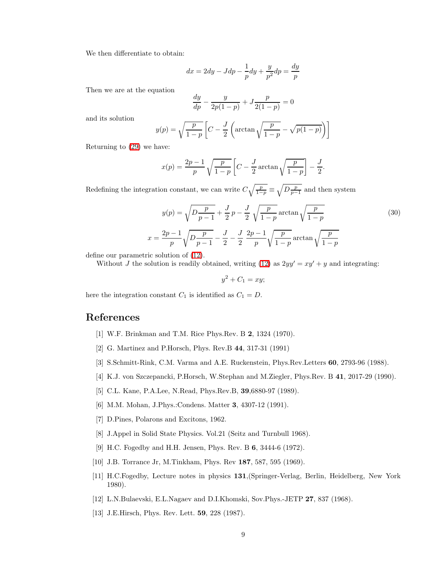We then differentiate to obtain:

$$
dx = 2dy - Jdp - \frac{1}{p}dy + \frac{y}{p^2}dp = \frac{dy}{p}
$$

Then we are at the equation

$$
\frac{dy}{dp} - \frac{y}{2p(1-p)} + J\frac{p}{2(1-p)} = 0
$$

and its solution

$$
y(p) = \sqrt{\frac{p}{1-p}} \left[ C - \frac{J}{2} \left( \arctan\sqrt{\frac{p}{1-p}} - \sqrt{p(1-p)} \right) \right]
$$

Returning to [\(29\)](#page-7-0) we have:

$$
x(p) = \frac{2p-1}{p} \sqrt{\frac{p}{1-p}} \left[ C - \frac{J}{2} \arctan\sqrt{\frac{p}{1-p}} \right] - \frac{J}{2}
$$

Redefining the integration constant, we can write  $C\sqrt{\frac{p}{1-p}} \equiv \sqrt{D\frac{p}{p-1}}$  and then system

$$
y(p) = \sqrt{D \frac{p}{p-1}} + \frac{J}{2} p - \frac{J}{2} \sqrt{\frac{p}{1-p}} \arctan \sqrt{\frac{p}{1-p}}
$$
  
=  $\frac{2p-1}{p} \sqrt{D \frac{p}{p-1}} - \frac{J}{2} - \frac{J}{2} \frac{2p-1}{p} \sqrt{\frac{p}{1-p}} \arctan \sqrt{\frac{p}{1-p}}$  (30)

.

define our parametric solution of [\(12\)](#page-3-3).

 $\boldsymbol{x}$ 

Without J the solution is readily obtained, writing [\(12\)](#page-3-3) as  $2yy' = xy' + y$  and integrating:

 $y^2 + C_1 = xy;$ 

here the integration constant  $C_1$  is identified as  $C_1 = D$ .

#### <span id="page-8-1"></span><span id="page-8-0"></span>References

- [1] W.F. Brinkman and T.M. Rice Phys.Rev. B 2, 1324 (1970).
- <span id="page-8-2"></span>[2] G. Martinez and P.Horsch, Phys. Rev.B 44, 317-31 (1991)
- <span id="page-8-3"></span>[3] S.Schmitt-Rink, C.M. Varma and A.E. Ruckenstein, Phys.Rev.Letters 60, 2793-96 (1988).
- <span id="page-8-4"></span>[4] K.J. von Szczepancki, P.Horsch, W.Stephan and M.Ziegler, Phys.Rev. B 41, 2017-29 (1990).
- <span id="page-8-5"></span>[5] C.L. Kane, P.A.Lee, N.Read, Phys.Rev.B, 39,6880-97 (1989).
- <span id="page-8-6"></span>[6] M.M. Mohan, J.Phys.:Condens. Matter 3, 4307-12 (1991).
- <span id="page-8-7"></span>[7] D.Pines, Polarons and Excitons, 1962.
- <span id="page-8-8"></span>[8] J.Appel in Solid State Physics. Vol.21 (Seitz and Turnbull 1968).
- [9] H.C. Fogedby and H.H. Jensen, Phys. Rev. B 6, 3444-6 (1972).
- <span id="page-8-12"></span><span id="page-8-9"></span>[10] J.B. Torrance Jr, M.Tinkham, Phys. Rev **187**, 587, 595 (1969).
- [11] H.C.Fogedby, Lecture notes in physics 131,(Springer-Verlag, Berlin, Heidelberg, New York 1980).
- <span id="page-8-11"></span><span id="page-8-10"></span>[12] L.N.Bulaevski, E.L.Nagaev and D.I.Khomski, Sov.Phys.-JETP 27, 837 (1968).
- [13] J.E.Hirsch, Phys. Rev. Lett. 59, 228 (1987).